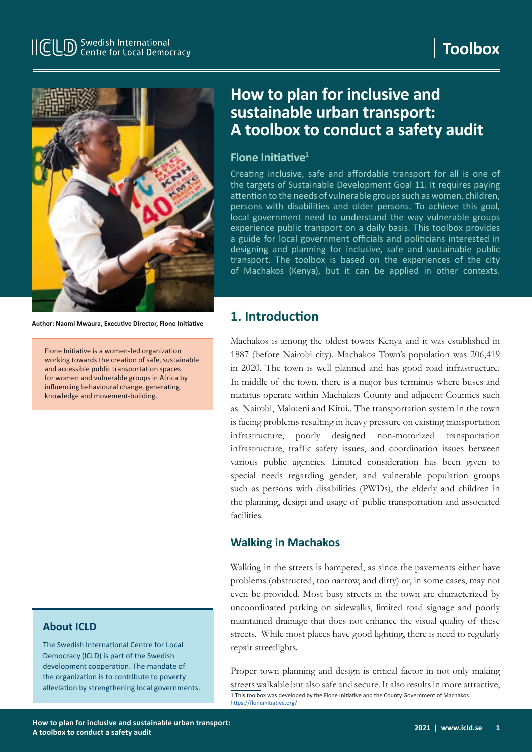

**Author: Naomi Mwaura, Executive Director, Flone Initiative**

Flone Initiative is a women-led organization working towards the creation of safe, sustainable and accessible public transportation spaces for women and vulnerable groups in Africa by influencing behavioural change, generating knowledge and movement-building.

### **About ICLD**

The Swedish International Centre for Local Democracy (ICLD) is part of the Swedish development cooperation. The mandate of the organization is to contribute to poverty alleviation by strengthening local governments.

# **How to plan for inclusive and sustainable urban transport: A toolbox to conduct a safety audit**

### **Flone Initiative<sup>1</sup>**

Creating inclusive, safe and affordable transport for all is one of the targets of Sustainable Development Goal 11. It requires paying attention to the needs of vulnerable groups such as women, children, persons with disabilities and older persons. To achieve this goal, local government need to understand the way vulnerable groups experience public transport on a daily basis. This toolbox provides a guide for local government officials and politicians interested in designing and planning for inclusive, safe and sustainable public transport. The toolbox is based on the experiences of the city of Machakos (Kenya), but it can be applied in other contexts.

## **1. Introduction**

Machakos is among the oldest towns Kenya and it was established in 1887 (before Nairobi city). Machakos Town's population was 206,419 in 2020. The town is well planned and has good road infrastructure. In middle of the town, there is a major bus terminus where buses and matatus operate within Machakos County and adjacent Counties such as Nairobi, Makueni and Kitui.. The transportation system in the town is facing problems resulting in heavy pressure on existing transportation infrastructure, poorly designed non-motorized transportation infrastructure, traffic safety issues, and coordination issues between various public agencies. Limited consideration has been given to special needs regarding gender, and vulnerable population groups such as persons with disabilities (PWDs), the elderly and children in the planning, design and usage of public transportation and associated facilities.

### **Walking in Machakos**

Walking in the streets is hampered, as since the pavements either have problems (obstructed, too narrow, and dirty) or, in some cases, may not even be provided. Most busy streets in the town are characterized by uncoordinated parking on sidewalks, limited road signage and poorly maintained drainage that does not enhance the visual quality of these streets. While most places have good lighting, there is need to regularly repair streetlights.

Proper town planning and design is critical factor in not only making streets walkable but also safe and secure. It also results in more attractive, 1 This toolbox was developed by the Flone Initiative and the County Government of Machakos. <https://floneinitiative.org/>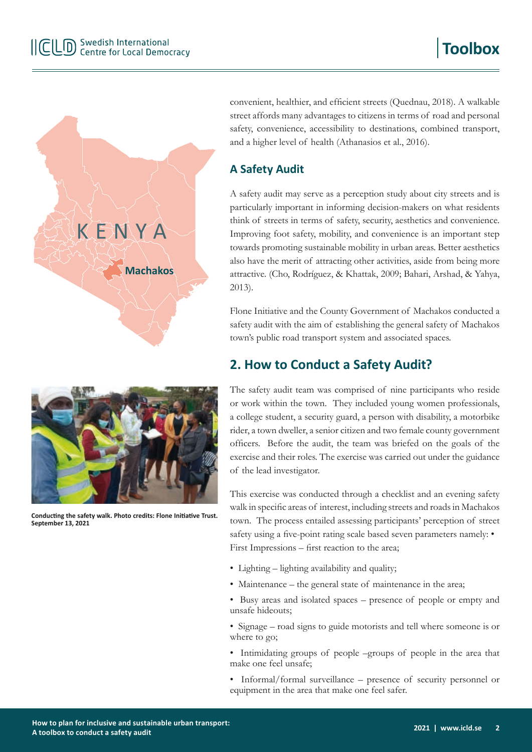

convenient, healthier, and efficient streets (Quednau, 2018). A walkable street affords many advantages to citizens in terms of road and personal safety, convenience, accessibility to destinations, combined transport, and a higher level of health (Athanasios et al., 2016).

## **A Safety Audit**

A safety audit may serve as a perception study about city streets and is particularly important in informing decision-makers on what residents think of streets in terms of safety, security, aesthetics and convenience. Improving foot safety, mobility, and convenience is an important step towards promoting sustainable mobility in urban areas. Better aesthetics also have the merit of attracting other activities, aside from being more attractive. (Cho, Rodríguez, & Khattak, 2009; Bahari, Arshad, & Yahya, 2013).

Flone Initiative and the County Government of Machakos conducted a safety audit with the aim of establishing the general safety of Machakos town's public road transport system and associated spaces.

# **2. How to Conduct a Safety Audit?**

The safety audit team was comprised of nine participants who reside or work within the town. They included young women professionals, a college student, a security guard, a person with disability, a motorbike rider, a town dweller, a senior citizen and two female county government officers. Before the audit, the team was briefed on the goals of the exercise and their roles. The exercise was carried out under the guidance of the lead investigator.

This exercise was conducted through a checklist and an evening safety walk in specific areas of interest, including streets and roads in Machakos town. The process entailed assessing participants' perception of street safety using a five-point rating scale based seven parameters namely: • First Impressions – first reaction to the area;

- Lighting lighting availability and quality;
- Maintenance the general state of maintenance in the area;
- Busy areas and isolated spaces presence of people or empty and unsafe hideouts;
- Signage road signs to guide motorists and tell where someone is or where to go;
- Intimidating groups of people –groups of people in the area that make one feel unsafe;
- Informal/formal surveillance presence of security personnel or equipment in the area that make one feel safer.



**Conducting the safety walk. Photo credits: Flone Initiative Trust. September 13, 2021**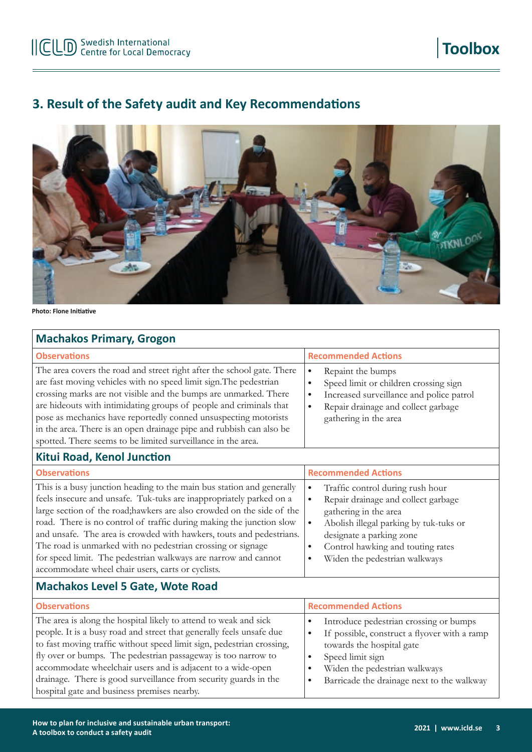**Toolbox**

# **3. Result of the Safety audit and Key Recommendations**



**Photo: Flone Initiative**

### **Machakos Primary, Grogon**

| <b>Observations</b>                                                                                                                                                                                                                                                                                                                                                                                                                                                                                                                                          | <b>Recommended Actions</b>                                                                                                                                                                                                                                                                                    |  |  |
|--------------------------------------------------------------------------------------------------------------------------------------------------------------------------------------------------------------------------------------------------------------------------------------------------------------------------------------------------------------------------------------------------------------------------------------------------------------------------------------------------------------------------------------------------------------|---------------------------------------------------------------------------------------------------------------------------------------------------------------------------------------------------------------------------------------------------------------------------------------------------------------|--|--|
| The area covers the road and street right after the school gate. There<br>are fast moving vehicles with no speed limit sign. The pedestrian<br>crossing marks are not visible and the bumps are unmarked. There<br>are hideouts with intimidating groups of people and criminals that<br>pose as mechanics have reportedly conned unsuspecting motorists<br>in the area. There is an open drainage pipe and rubbish can also be<br>spotted. There seems to be limited surveillance in the area.<br>Kitui Road, Kenol Junction                                | Repaint the bumps<br>$\bullet$<br>Speed limit or children crossing sign<br>٠<br>Increased surveillance and police patrol<br>$\bullet$<br>Repair drainage and collect garbage<br>$\bullet$<br>gathering in the area                                                                                            |  |  |
| <b>Observations</b>                                                                                                                                                                                                                                                                                                                                                                                                                                                                                                                                          | <b>Recommended Actions</b>                                                                                                                                                                                                                                                                                    |  |  |
| This is a busy junction heading to the main bus station and generally<br>feels insecure and unsafe. Tuk-tuks are inappropriately parked on a<br>large section of the road; hawkers are also crowded on the side of the<br>road. There is no control of traffic during making the junction slow<br>and unsafe. The area is crowded with hawkers, touts and pedestrians.<br>The road is unmarked with no pedestrian crossing or signage<br>for speed limit. The pedestrian walkways are narrow and cannot<br>accommodate wheel chair users, carts or cyclists. | Traffic control during rush hour<br>$\bullet$<br>Repair drainage and collect garbage<br>$\bullet$<br>gathering in the area<br>Abolish illegal parking by tuk-tuks or<br>$\bullet$<br>designate a parking zone<br>Control hawking and touting rates<br>$\bullet$<br>Widen the pedestrian walkways<br>$\bullet$ |  |  |

### **Machakos Level 5 Gate, Wote Road**

| <b>Observations</b>                                                                                                                                                                                                                                                                                                                                                                                                                                                  | <b>Recommended Actions</b>                                                                                                                                                                                                               |  |
|----------------------------------------------------------------------------------------------------------------------------------------------------------------------------------------------------------------------------------------------------------------------------------------------------------------------------------------------------------------------------------------------------------------------------------------------------------------------|------------------------------------------------------------------------------------------------------------------------------------------------------------------------------------------------------------------------------------------|--|
| The area is along the hospital likely to attend to weak and sick<br>people. It is a busy road and street that generally feels unsafe due<br>to fast moving traffic without speed limit sign, pedestrian crossing,<br>fly over or bumps. The pedestrian passageway is too narrow to<br>accommodate wheelchair users and is adjacent to a wide-open<br>drainage. There is good surveillance from security guards in the<br>hospital gate and business premises nearby. | Introduce pedestrian crossing or bumps<br>If possible, construct a flyover with a ramp<br>$\bullet$<br>towards the hospital gate<br>Speed limit sign<br>Widen the pedestrian walkways<br>Barricade the drainage next to the walkway<br>٠ |  |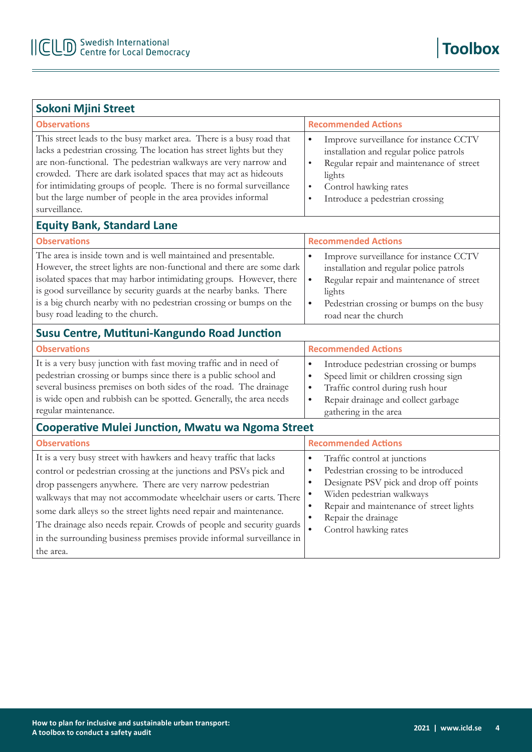| <b>Sokoni Mjini Street</b>                                                                                                                                                                                                                                                                                                                                                                                                                                                                                      |                                                                                                                                                                                                                                                                                                                                   |  |  |
|-----------------------------------------------------------------------------------------------------------------------------------------------------------------------------------------------------------------------------------------------------------------------------------------------------------------------------------------------------------------------------------------------------------------------------------------------------------------------------------------------------------------|-----------------------------------------------------------------------------------------------------------------------------------------------------------------------------------------------------------------------------------------------------------------------------------------------------------------------------------|--|--|
| <b>Observations</b>                                                                                                                                                                                                                                                                                                                                                                                                                                                                                             | <b>Recommended Actions</b>                                                                                                                                                                                                                                                                                                        |  |  |
| This street leads to the busy market area. There is a busy road that<br>lacks a pedestrian crossing. The location has street lights but they<br>are non-functional. The pedestrian walkways are very narrow and<br>crowded. There are dark isolated spaces that may act as hideouts<br>for intimidating groups of people. There is no formal surveillance<br>but the large number of people in the area provides informal<br>surveillance.                                                                      | Improve surveillance for instance CCTV<br>$\bullet$<br>installation and regular police patrols<br>Regular repair and maintenance of street<br>$\bullet$<br>lights<br>Control hawking rates<br>$\bullet$<br>Introduce a pedestrian crossing<br>$\bullet$                                                                           |  |  |
| <b>Equity Bank, Standard Lane</b>                                                                                                                                                                                                                                                                                                                                                                                                                                                                               |                                                                                                                                                                                                                                                                                                                                   |  |  |
| <b>Observations</b>                                                                                                                                                                                                                                                                                                                                                                                                                                                                                             | <b>Recommended Actions</b>                                                                                                                                                                                                                                                                                                        |  |  |
| The area is inside town and is well maintained and presentable.<br>However, the street lights are non-functional and there are some dark<br>isolated spaces that may harbor intimidating groups. However, there<br>is good surveillance by security guards at the nearby banks. There<br>is a big church nearby with no pedestrian crossing or bumps on the<br>busy road leading to the church.                                                                                                                 | $\bullet$<br>Improve surveillance for instance CCTV<br>installation and regular police patrols<br>$\bullet$<br>Regular repair and maintenance of street<br>lights<br>Pedestrian crossing or bumps on the busy<br>$\bullet$<br>road near the church                                                                                |  |  |
| Susu Centre, Mutituni-Kangundo Road Junction                                                                                                                                                                                                                                                                                                                                                                                                                                                                    |                                                                                                                                                                                                                                                                                                                                   |  |  |
| <b>Observations</b>                                                                                                                                                                                                                                                                                                                                                                                                                                                                                             | <b>Recommended Actions</b>                                                                                                                                                                                                                                                                                                        |  |  |
| It is a very busy junction with fast moving traffic and in need of<br>pedestrian crossing or bumps since there is a public school and<br>several business premises on both sides of the road. The drainage<br>is wide open and rubbish can be spotted. Generally, the area needs<br>regular maintenance.                                                                                                                                                                                                        | Introduce pedestrian crossing or bumps<br>$\bullet$<br>Speed limit or children crossing sign<br>$\bullet$<br>Traffic control during rush hour<br>$\bullet$<br>Repair drainage and collect garbage<br>$\bullet$<br>gathering in the area                                                                                           |  |  |
| <b>Cooperative Mulei Junction, Mwatu wa Ngoma Street</b>                                                                                                                                                                                                                                                                                                                                                                                                                                                        |                                                                                                                                                                                                                                                                                                                                   |  |  |
| <b>Observations</b>                                                                                                                                                                                                                                                                                                                                                                                                                                                                                             | <b>Recommended Actions</b>                                                                                                                                                                                                                                                                                                        |  |  |
| It is a very busy street with hawkers and heavy traffic that lacks<br>control or pedestrian crossing at the junctions and PSVs pick and<br>drop passengers anywhere. There are very narrow pedestrian<br>walkways that may not accommodate wheelchair users or carts. There<br>some dark alleys so the street lights need repair and maintenance.<br>The drainage also needs repair. Crowds of people and security guards<br>in the surrounding business premises provide informal surveillance in<br>the area. | Traffic control at junctions<br>$\bullet$<br>Pedestrian crossing to be introduced<br>$\bullet$<br>Designate PSV pick and drop off points<br>$\bullet$<br>Widen pedestrian walkways<br>$\bullet$<br>Repair and maintenance of street lights<br>$\bullet$<br>Repair the drainage<br>$\bullet$<br>$\bullet$<br>Control hawking rates |  |  |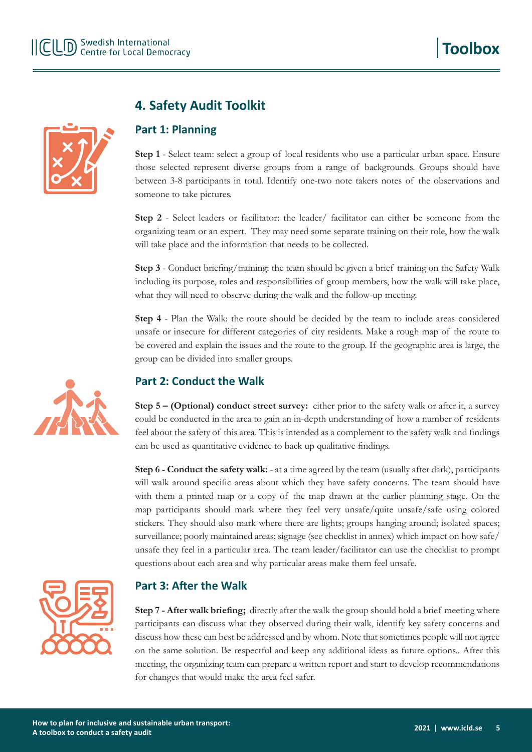

# **4. Safety Audit Toolkit**

## **Part 1: Planning**

**Step 1** - Select team: select a group of local residents who use a particular urban space. Ensure those selected represent diverse groups from a range of backgrounds. Groups should have between 3-8 participants in total. Identify one-two note takers notes of the observations and someone to take pictures.

**Step 2** - Select leaders or facilitator: the leader/ facilitator can either be someone from the organizing team or an expert. They may need some separate training on their role, how the walk will take place and the information that needs to be collected.

**Step 3** - Conduct briefing/training: the team should be given a brief training on the Safety Walk including its purpose, roles and responsibilities of group members, how the walk will take place, what they will need to observe during the walk and the follow-up meeting.

**Step 4** - Plan the Walk: the route should be decided by the team to include areas considered unsafe or insecure for different categories of city residents. Make a rough map of the route to be covered and explain the issues and the route to the group. If the geographic area is large, the group can be divided into smaller groups.

## **Part 2: Conduct the Walk**

**Step 5 – (Optional) conduct street survey:** either prior to the safety walk or after it, a survey could be conducted in the area to gain an in-depth understanding of how a number of residents feel about the safety of this area. This is intended as a complement to the safety walk and findings can be used as quantitative evidence to back up qualitative findings.

**Step 6 - Conduct the safety walk:** - at a time agreed by the team (usually after dark), participants will walk around specific areas about which they have safety concerns. The team should have with them a printed map or a copy of the map drawn at the earlier planning stage. On the map participants should mark where they feel very unsafe/quite unsafe/safe using colored stickers. They should also mark where there are lights; groups hanging around; isolated spaces; surveillance; poorly maintained areas; signage (see checklist in annex) which impact on how safe/ unsafe they feel in a particular area. The team leader/facilitator can use the checklist to prompt questions about each area and why particular areas make them feel unsafe.



### **Part 3: After the Walk**

**Step 7 - After walk briefing;** directly after the walk the group should hold a brief meeting where participants can discuss what they observed during their walk, identify key safety concerns and discuss how these can best be addressed and by whom. Note that sometimes people will not agree on the same solution. Be respectful and keep any additional ideas as future options.. After this meeting, the organizing team can prepare a written report and start to develop recommendations for changes that would make the area feel safer.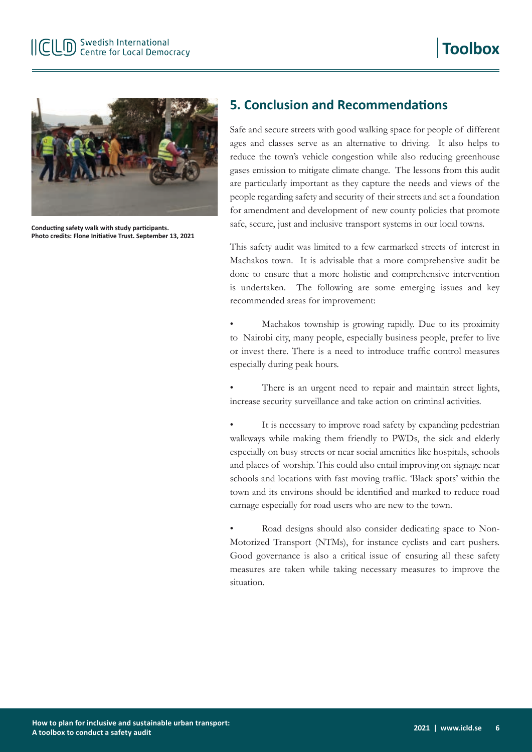

**Conducting safety walk with study participants. Photo credits: Flone Initiative Trust. September 13, 2021**

## **5. Conclusion and Recommendations**

Safe and secure streets with good walking space for people of different ages and classes serve as an alternative to driving. It also helps to reduce the town's vehicle congestion while also reducing greenhouse gases emission to mitigate climate change. The lessons from this audit are particularly important as they capture the needs and views of the people regarding safety and security of their streets and set a foundation for amendment and development of new county policies that promote safe, secure, just and inclusive transport systems in our local towns.

This safety audit was limited to a few earmarked streets of interest in Machakos town. It is advisable that a more comprehensive audit be done to ensure that a more holistic and comprehensive intervention is undertaken. The following are some emerging issues and key recommended areas for improvement:

• Machakos township is growing rapidly. Due to its proximity to Nairobi city, many people, especially business people, prefer to live or invest there. There is a need to introduce traffic control measures especially during peak hours.

There is an urgent need to repair and maintain street lights, increase security surveillance and take action on criminal activities.

It is necessary to improve road safety by expanding pedestrian walkways while making them friendly to PWDs, the sick and elderly especially on busy streets or near social amenities like hospitals, schools and places of worship. This could also entail improving on signage near schools and locations with fast moving traffic. 'Black spots' within the town and its environs should be identified and marked to reduce road carnage especially for road users who are new to the town.

Road designs should also consider dedicating space to Non-Motorized Transport (NTMs), for instance cyclists and cart pushers. Good governance is also a critical issue of ensuring all these safety measures are taken while taking necessary measures to improve the situation.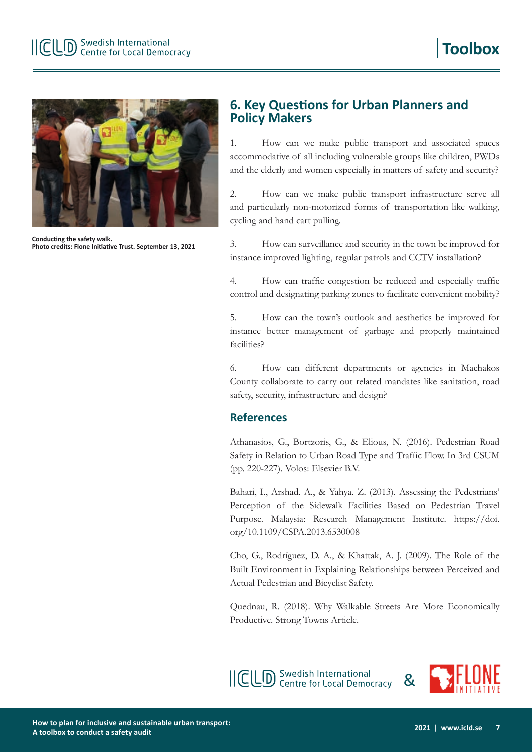

**Conducting the safety walk. Photo credits: Flone Initiative Trust. September 13, 2021**

## **6. Key Questions for Urban Planners and Policy Makers**

1. How can we make public transport and associated spaces accommodative of all including vulnerable groups like children, PWDs and the elderly and women especially in matters of safety and security?

2. How can we make public transport infrastructure serve all and particularly non-motorized forms of transportation like walking, cycling and hand cart pulling.

3. How can surveillance and security in the town be improved for instance improved lighting, regular patrols and CCTV installation?

4. How can traffic congestion be reduced and especially traffic control and designating parking zones to facilitate convenient mobility?

5. How can the town's outlook and aesthetics be improved for instance better management of garbage and properly maintained facilities?

6. How can different departments or agencies in Machakos County collaborate to carry out related mandates like sanitation, road safety, security, infrastructure and design?

### **References**

Athanasios, G., Bortzoris, G., & Elious, N. (2016). Pedestrian Road Safety in Relation to Urban Road Type and Traffic Flow. In 3rd CSUM (pp. 220-227). Volos: Elsevier B.V.

Bahari, I., Arshad. A., & Yahya. Z. (2013). Assessing the Pedestrians' Perception of the Sidewalk Facilities Based on Pedestrian Travel Purpose. Malaysia: Research Management Institute. https://doi. org/10.1109/CSPA.2013.6530008

Cho, G., Rodríguez, D. A., & Khattak, A. J. (2009). The Role of the Built Environment in Explaining Relationships between Perceived and Actual Pedestrian and Bicyclist Safety.

Quednau, R. (2018). Why Walkable Streets Are More Economically Productive. Strong Towns Article.